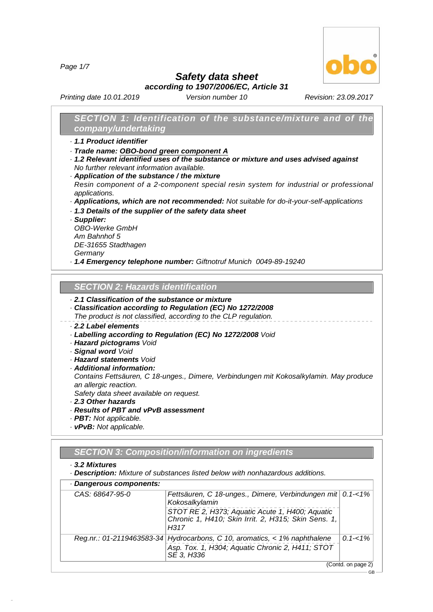*Page 1/7*



GB

*Safety data sheet*

*according to 1907/2006/EC, Article 31*

*Printing date 10.01.2019 Version number 10 Revision: 23.09.2017*

## *SECTION 1: Identification of the substance/mixture and of the company/undertaking*

- *· 1.1 Product identifier*
- *· Trade name: OBO-bond green component A*
- *· 1.2 Relevant identified uses of the substance or mixture and uses advised against No further relevant information available.*
- *· Application of the substance / the mixture*
- *Resin component of a 2-component special resin system for industrial or professional applications.*
- *· Applications, which are not recommended: Not suitable for do-it-your-self-applications*
- *· 1.3 Details of the supplier of the safety data sheet*

*· Supplier:*

*OBO-Werke GmbH Am Bahnhof 5 DE-31655 Stadthagen Germany*

*· 1.4 Emergency telephone number: Giftnotruf Munich 0049-89-19240*

## *SECTION 2:Hazards identification*

## *· 2.1 Classification of the substance or mixture*

- *· Classification according to Regulation (EC) No 1272/2008*
- *The product is not classified, according to the CLP regulation.*

## *· 2.2 Label elements*

- *· Labelling according to Regulation (EC) No 1272/2008 Void*
- *· Hazard pictograms Void*
- *· Signal word Void*
- *· Hazard statements Void*
- *· Additional information:*

*Contains Fettsäuren, C 18-unges., Dimere, Verbindungen mit Kokosalkylamin. May produce an allergic reaction.*

*Safety data sheet available on request.*

- *· 2.3 Other hazards*
- *· Results of PBT and vPvB assessment*
- *· PBT: Not applicable.*
- *· vPvB: Not applicable.*

## *SECTION 3:Composition/information on ingredients*

*· 3.2 Mixtures*

48.0.6

*· Description: Mixture of substances listed below with nonhazardous additions.*

| CAS: 68647-95-0 | Fettsäuren, C 18-unges., Dimere, Verbindungen mit 0.1-<1%<br>Kokosalkylamin                                                                 |             |
|-----------------|---------------------------------------------------------------------------------------------------------------------------------------------|-------------|
|                 | STOT RE 2, H373; Aquatic Acute 1, H400; Aquatic<br>Chronic 1, H410; Skin Irrit. 2, H315; Skin Sens. 1,<br>H317                              |             |
|                 | Reg.nr.: 01-2119463583-34 Hydrocarbons, C 10, aromatics, < 1% naphthalene<br>Asp. Tox. 1, H304; Aquatic Chronic 2, H411; STOT<br>SE 3. H336 | $0.1 - 1\%$ |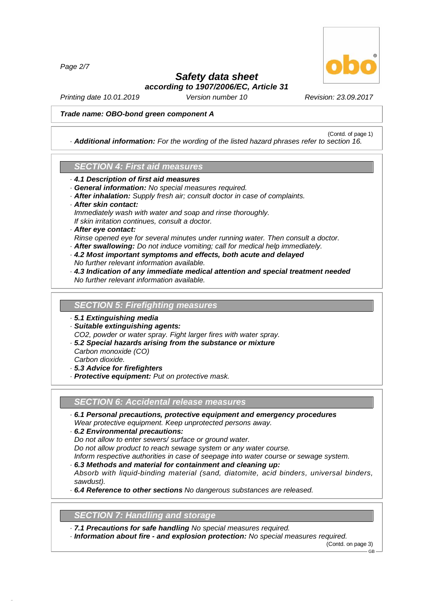*Page 2/7*



(Contd. of page 1)

# *Safety data sheet according to 1907/2006/EC, Article 31*

*Printing date 10.01.2019 Version number 10 Revision: 23.09.2017*

#### *Trade name: OBO-bond green component A*

*· Additional information: For the wording of the listed hazard phrases refer to section 16.*

## *SECTION 4:First aid measures*

- *· 4.1 Description of first aid measures*
- *· General information: No special measures required.*
- *· After inhalation: Supply fresh air; consult doctor in case of complaints.*
- *· After skin contact:*
- *Immediately wash with water and soap and rinse thoroughly.*
- *If skin irritation continues, consult a doctor.*

## *· After eye contact:*

- *Rinse opened eye for several minutes under running water. Then consult a doctor.*
- *· After swallowing: Do not induce vomiting; call for medical help immediately.*
- *· 4.2 Most important symptoms and effects, both acute and delayed No further relevant information available.*
- *· 4.3 Indication of any immediate medical attention and special treatment needed No further relevant information available.*

#### **SECTION 5: Firefighting measures**

- *· 5.1 Extinguishing media*
- *· Suitable extinguishing agents:*

*CO2, powder or water spray. Fight larger fires with water spray. · 5.2 Special hazards arising from the substance or mixture*

- *Carbon monoxide (CO)*
- *Carbon dioxide.*

48.0.6

- *· 5.3 Advice for firefighters*
- *· Protective equipment: Put on protective mask.*

#### *SECTION 6:Accidental release measures*

- *· 6.1 Personal precautions, protective equipment and emergency procedures Wear protective equipment. Keep unprotected persons away.*
- *· 6.2 Environmental precautions:*

*Do not allow to enter sewers/ surface or ground water.*

*Do not allow product to reach sewage system or any water course.*

*Inform respective authorities in case of seepage into water course or sewage system.*

- *· 6.3 Methods and material for containment and cleaning up: Absorb with liquid-binding material (sand, diatomite, acid binders, universal binders, sawdust).*
- *· 6.4 Reference to other sections No dangerous substances are released.*

## **SECTION 7: Handling and storage**

- *· 7.1 Precautions for safe handling No special measures required.*
- *· Information about fire - and explosion protection: No special measures required.*

(Contd. on page 3) GB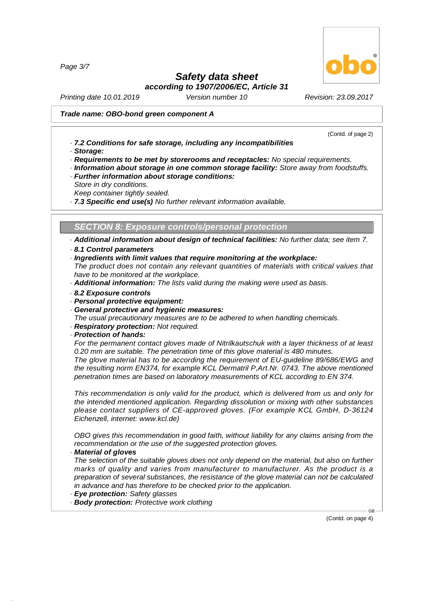*Page 3/7*

# *Safety data sheet*

*according to 1907/2006/EC, Article 31*

*Printing date 10.01.2019 Version number 10 Revision: 23.09.2017*

## *Trade name: OBO-bond green component A*

(Contd. of page 2)

- *· 7.2 Conditions for safe storage, including any incompatibilities*
- *· Storage:*
- *· Requirements to be met by storerooms and receptacles: No special requirements.*
- *· Information about storage in one common storage facility: Store away from foodstuffs.*
- *· Further information about storage conditions:*
- *Store in dry conditions.*
- *Keep container tightly sealed.*

*· 7.3 Specific end use(s) No further relevant information available.*

**SECTION 8: Exposure controls/personal protection** 

*· Additional information about design of technical facilities: No further data; see item 7.*

#### *· 8.1 Control parameters*

*· Ingredients with limit values that require monitoring at the workplace:*

*The product does not contain any relevant quantities of materials with critical values that have to be monitored at the workplace.*

*· Additional information: The lists valid during the making were used as basis.*

- *· 8.2 Exposure controls*
- *· Personal protective equipment:*
- *· General protective and hygienic measures:*
- *The usual precautionary measures are to be adhered to when handling chemicals.*
- *· Respiratory protection: Not required.*
- *· Protection of hands:*

*For the permanent contact gloves made of Nitrilkautschuk with a layer thickness of at least 0.20 mm are suitable. The penetration time of this glove material is 480 minutes.*

*The glove material has to be according the requirement of EU-guideline 89/686/EWG and the resulting norm EN374, for example KCL Dermatril P,Art.Nr. 0743. The above mentioned penetration times are based on laboratory measurements of KCL according to EN 374.*

*This recommendation is only valid for the product, which is delivered from us and only for the intended mentioned application. Regarding dissolution or mixing with other substances please contact suppliers of CE-approved gloves. (For example KCL GmbH, D-36124 Eichenzell, internet: [www.kcl.de\)](	)*

*OBO gives this recommendation in good faith, without liability for any claims arising from the recommendation or the use of the suggested protection gloves.*

#### *· Material of gloves*

48.0.6

*The selection of the suitable gloves does not only depend on the material, but also on further marks of quality and varies from manufacturer to manufacturer. As the product is a preparation of several substances, the resistance of the glove material can not be calculated in advance and has therefore to be checked prior to the application.*

*· Eye protection: Safety glasses*

*· Body protection: Protective work clothing*

(Contd. on page 4)

GB

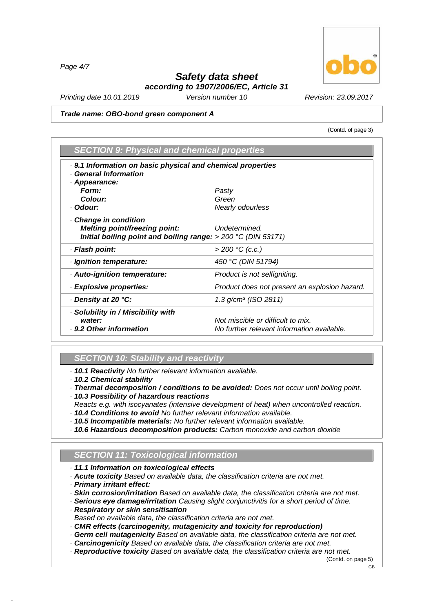*Page 4/7*

# *Safety data sheet according to 1907/2006/EC, Article 31*

*Printing date 10.01.2019 Version number 10 Revision: 23.09.2017*

#### *Trade name: OBO-bond green component A*

(Contd. of page 3)

| <b>SECTION 9: Physical and chemical properties</b>                                      |                                               |
|-----------------------------------------------------------------------------------------|-----------------------------------------------|
| 0.1 Information on basic physical and chemical properties<br><b>General Information</b> |                                               |
| Appearance:                                                                             |                                               |
| Form:                                                                                   | Pasty                                         |
| Colour:                                                                                 | Green                                         |
| · Odour:                                                                                | Nearly odourless                              |
| Change in condition                                                                     |                                               |
| Melting point/freezing point:                                                           | Undetermined.                                 |
| Initial boiling point and boiling range: $>$ 200 °C (DIN 53171)                         |                                               |
| · Flash point:                                                                          | $> 200 °C$ (c.c.)                             |
| · Ignition temperature:                                                                 | 450 °C (DIN 51794)                            |
| Auto-ignition temperature:                                                              | Product is not selfigniting.                  |
| · Explosive properties:                                                                 | Product does not present an explosion hazard. |
| Density at 20 °C:                                                                       | $1.3$ g/cm <sup>3</sup> (ISO 2811)            |
| Solubility in / Miscibility with                                                        |                                               |
| water:                                                                                  | Not miscible or difficult to mix.             |
| . 9.2 Other information                                                                 | No further relevant information available.    |

# *SECTION 10: Stability and reactivity*

*· 10.1 Reactivity No further relevant information available.*

- *· 10.2 Chemical stability*
- *· Thermal decomposition / conditions to be avoided: Does not occur until boiling point.*
- *· 10.3 Possibility of hazardous reactions*
- *Reacts e.g. with isocyanates (intensive development of heat) when uncontrolled reaction.*
- *· 10.4 Conditions to avoid No further relevant information available.*
- *· 10.5 Incompatible materials: No further relevant information available.*
- *· 10.6 Hazardous decomposition products: Carbon monoxide and carbon dioxide*

# *SECTION 11: Toxicological information*

- *· 11.1 Information on toxicological effects*
- *· Acute toxicity Based on available data, the classification criteria are not met.*
- *· Primary irritant effect:*

48.0.6

- *· Skin corrosion/irritation Based on available data, the classification criteria are not met.*
- *· Serious eye damage/irritation Causing slight conjunctivitis for a short period of time.*
- *· Respiratory or skin sensitisation*
- *Based on available data, the classification criteria are not met.*
- *· CMR effects (carcinogenity, mutagenicity and toxicity for reproduction)*
- *· Germ cellmutagenicity Based on available data, the classification criteria are not met.*
- *· Carcinogenicity Based on available data, the classification criteria are not met.*
- *· Reproductive toxicity Based on available data, the classification criteria are not met.*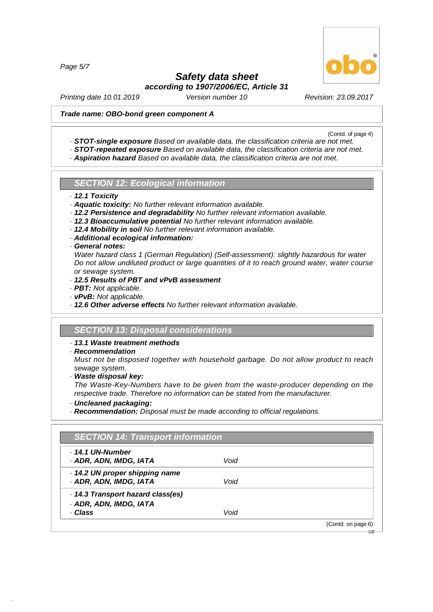*Page 5/7*

# *Safety data sheet according to 1907/2006/EC, Article 31*

*Printing date 10.01.2019 Version number 10 Revision: 23.09.2017*

## *Trade name: OBO-bond green component A*

(Contd. of page 4)

- *· STOT-single exposure Based on available data, the classification criteria are not met.*
- *· STOT-repeated exposure Based on available data, the classification criteria are not met.*
- *· Aspiration hazard Based on available data, the classification criteria are not met.*

# *SECTION 12: Ecological information*

- *· 12.1 Toxicity*
- *· Aquatic toxicity: No further relevant information available.*
- *· 12.2 Persistence and degradability No further relevant information available.*
- *· 12.3 Bioaccumulative potential No further relevant information available.*
- *· 12.4 Mobility in soil No further relevant information available.*
- *· Additional ecological information:*

#### *· General notes:*

*Water hazard class 1 (German Regulation) (Self-assessment): slightly hazardous for water Do not allow undiluted product or large quantities of it to reach ground water, water course or sewage system.*

- *· 12.5 Results of PBT and vPvB assessment*
- *· PBT: Not applicable.*
- *· vPvB: Not applicable.*
- *· 12.6 Other adverse effects No further relevant information available.*

## *SECTION 13: Disposal considerations*

## *· 13.1 Waste treatment methods*

*· Recommendation*

*Must not be disposed together with household garbage. Do not allow product to reach sewage system.*

*· Waste disposal key:*

*The Waste-Key-Numbers have to be given from the waste-producer depending on the respective trade. Therefore no information can be stated from the manufacturer.*

*· Uncleaned packaging:*

48.0.6

*· Recommendation: Disposal must be made according to official regulations.*

| . 14.1 UN-Number                |      |  |
|---------------------------------|------|--|
| · ADR, ADN, IMDG, IATA          | Void |  |
| · 14.2 UN proper shipping name  |      |  |
| · ADR, ADN, IMDG, IATA          | Void |  |
| 14.3 Transport hazard class(es) |      |  |
| · ADR, ADN, IMDG, IATA          |      |  |
| · Class                         | Void |  |

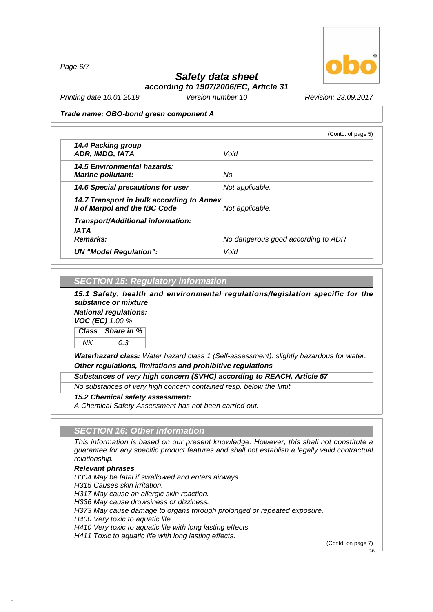*Page 6/7*



# *Safety data sheet according to 1907/2006/EC, Article 31*

*Printing date 10.01.2019 Version number 10 Revision: 23.09.2017*

#### *Trade name: OBO-bond green component A*

| Void                                      |
|-------------------------------------------|
|                                           |
| Nο                                        |
| Not applicable.                           |
| 14.7 Transport in bulk according to Annex |
| Not applicable.                           |
|                                           |
|                                           |
| No dangerous good according to ADR        |
| Void                                      |
|                                           |

# *SECTION 15: Regulatory information*

*· 15.1 Safety, health and environmental regulations/legislation specific for the substance or mixture*

*· National regulations:*

*· VOC (EC) 1.00 %*



*· Waterhazard class: Water hazard class 1 (Self-assessment): slightly hazardous for water.*

*· Other regulations, limitations and prohibitive regulations*

*· Substances of very high concern (SVHC) according to REACH, Article 57*

*No substances of very high concern contained resp. below the limit.*

*· 15.2 Chemical safety assessment:*

*A Chemical Safety Assessment has not been carried out.*

## *SECTION 16: Other information*

*This information is based on our present knowledge. However, this shall not constitute a guarantee for any specific product features and shall not establish a legally valid contractual relationship.*

## *· Relevant phrases*

48.0.6

*H304 May be fatal if swallowed and enters airways. H315 Causes skin irritation. H317 May cause an allergic skin reaction. H336 May cause drowsiness or dizziness. H373 May cause damage to organs through prolonged or repeated exposure. H400 Very toxic to aquatic life. H410 Very toxic to aquatic life with long lasting effects. H411 Toxic to aquatic life with long lasting effects.*

(Contd. on page 7)

GB